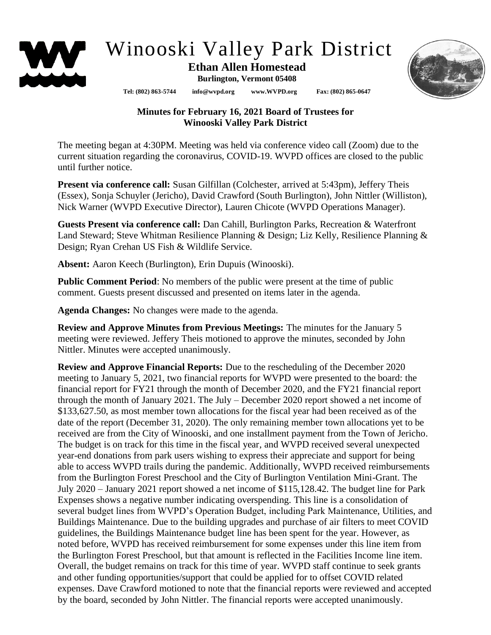

## Winooski Valley Park District

## **Ethan Allen Homestead Burlington, Vermont 05408**

**Tel: (802) 863-5744 info@wvpd.org [www.WVPD.org](http://www.wvpd.org/) Fax: (802) 865-0647** 



## **Minutes for February 16, 2021 Board of Trustees for Winooski Valley Park District**

The meeting began at 4:30PM. Meeting was held via conference video call (Zoom) due to the current situation regarding the coronavirus, COVID-19. WVPD offices are closed to the public until further notice.

**Present via conference call:** Susan Gilfillan (Colchester, arrived at 5:43pm), Jeffery Theis (Essex), Sonja Schuyler (Jericho), David Crawford (South Burlington), John Nittler (Williston), Nick Warner (WVPD Executive Director), Lauren Chicote (WVPD Operations Manager).

**Guests Present via conference call:** Dan Cahill, Burlington Parks, Recreation & Waterfront Land Steward; Steve Whitman Resilience Planning & Design; Liz Kelly, Resilience Planning & Design; Ryan Crehan US Fish & Wildlife Service.

**Absent:** Aaron Keech (Burlington), Erin Dupuis (Winooski).

**Public Comment Period**: No members of the public were present at the time of public comment. Guests present discussed and presented on items later in the agenda.

**Agenda Changes:** No changes were made to the agenda.

**Review and Approve Minutes from Previous Meetings:** The minutes for the January 5 meeting were reviewed. Jeffery Theis motioned to approve the minutes, seconded by John Nittler. Minutes were accepted unanimously.

**Review and Approve Financial Reports:** Due to the rescheduling of the December 2020 meeting to January 5, 2021, two financial reports for WVPD were presented to the board: the financial report for FY21 through the month of December 2020, and the FY21 financial report through the month of January 2021. The July – December 2020 report showed a net income of \$133,627.50, as most member town allocations for the fiscal year had been received as of the date of the report (December 31, 2020). The only remaining member town allocations yet to be received are from the City of Winooski, and one installment payment from the Town of Jericho. The budget is on track for this time in the fiscal year, and WVPD received several unexpected year-end donations from park users wishing to express their appreciate and support for being able to access WVPD trails during the pandemic. Additionally, WVPD received reimbursements from the Burlington Forest Preschool and the City of Burlington Ventilation Mini-Grant. The July 2020 – January 2021 report showed a net income of \$115,128.42. The budget line for Park Expenses shows a negative number indicating overspending. This line is a consolidation of several budget lines from WVPD's Operation Budget, including Park Maintenance, Utilities, and Buildings Maintenance. Due to the building upgrades and purchase of air filters to meet COVID guidelines, the Buildings Maintenance budget line has been spent for the year. However, as noted before, WVPD has received reimbursement for some expenses under this line item from the Burlington Forest Preschool, but that amount is reflected in the Facilities Income line item. Overall, the budget remains on track for this time of year. WVPD staff continue to seek grants and other funding opportunities/support that could be applied for to offset COVID related expenses. Dave Crawford motioned to note that the financial reports were reviewed and accepted by the board, seconded by John Nittler. The financial reports were accepted unanimously.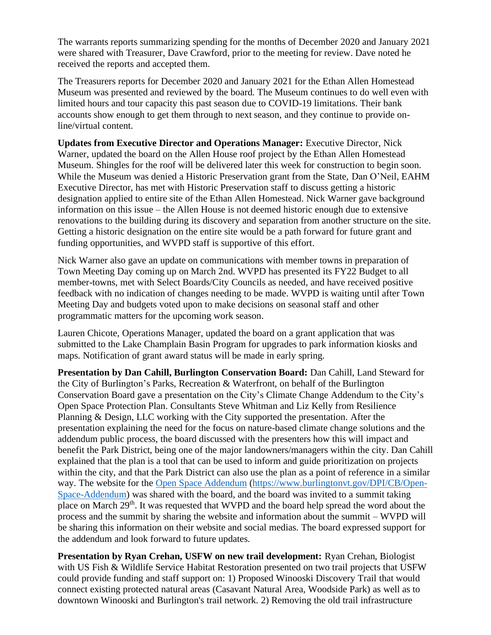The warrants reports summarizing spending for the months of December 2020 and January 2021 were shared with Treasurer, Dave Crawford, prior to the meeting for review. Dave noted he received the reports and accepted them.

The Treasurers reports for December 2020 and January 2021 for the Ethan Allen Homestead Museum was presented and reviewed by the board. The Museum continues to do well even with limited hours and tour capacity this past season due to COVID-19 limitations. Their bank accounts show enough to get them through to next season, and they continue to provide online/virtual content.

**Updates from Executive Director and Operations Manager:** Executive Director, Nick Warner, updated the board on the Allen House roof project by the Ethan Allen Homestead Museum. Shingles for the roof will be delivered later this week for construction to begin soon. While the Museum was denied a Historic Preservation grant from the State, Dan O'Neil, EAHM Executive Director, has met with Historic Preservation staff to discuss getting a historic designation applied to entire site of the Ethan Allen Homestead. Nick Warner gave background information on this issue – the Allen House is not deemed historic enough due to extensive renovations to the building during its discovery and separation from another structure on the site. Getting a historic designation on the entire site would be a path forward for future grant and funding opportunities, and WVPD staff is supportive of this effort.

Nick Warner also gave an update on communications with member towns in preparation of Town Meeting Day coming up on March 2nd. WVPD has presented its FY22 Budget to all member-towns, met with Select Boards/City Councils as needed, and have received positive feedback with no indication of changes needing to be made. WVPD is waiting until after Town Meeting Day and budgets voted upon to make decisions on seasonal staff and other programmatic matters for the upcoming work season.

Lauren Chicote, Operations Manager, updated the board on a grant application that was submitted to the Lake Champlain Basin Program for upgrades to park information kiosks and maps. Notification of grant award status will be made in early spring.

**Presentation by Dan Cahill, Burlington Conservation Board:** Dan Cahill, Land Steward for the City of Burlington's Parks, Recreation & Waterfront, on behalf of the Burlington Conservation Board gave a presentation on the City's Climate Change Addendum to the City's Open Space Protection Plan. Consultants Steve Whitman and Liz Kelly from Resilience Planning & Design, LLC working with the City supported the presentation. After the presentation explaining the need for the focus on nature-based climate change solutions and the addendum public process, the board discussed with the presenters how this will impact and benefit the Park District, being one of the major landowners/managers within the city. Dan Cahill explained that the plan is a tool that can be used to inform and guide prioritization on projects within the city, and that the Park District can also use the plan as a point of reference in a similar way. The website for the [Open Space Addendum](https://www.burlingtonvt.gov/DPI/CB/Open-Space-Addendum) [\(https://www.burlingtonvt.gov/DPI/CB/Open-](https://www.burlingtonvt.gov/DPI/CB/Open-Space-Addendum)[Space-Addendum\)](https://www.burlingtonvt.gov/DPI/CB/Open-Space-Addendum) was shared with the board, and the board was invited to a summit taking place on March 29<sup>th</sup>. It was requested that WVPD and the board help spread the word about the process and the summit by sharing the website and information about the summit – WVPD will be sharing this information on their website and social medias. The board expressed support for the addendum and look forward to future updates.

**Presentation by Ryan Crehan, USFW on new trail development:** Ryan Crehan, Biologist with US Fish & Wildlife Service Habitat Restoration presented on two trail projects that USFW could provide funding and staff support on: 1) Proposed Winooski Discovery Trail that would connect existing protected natural areas (Casavant Natural Area, Woodside Park) as well as to downtown Winooski and Burlington's trail network. 2) Removing the old trail infrastructure